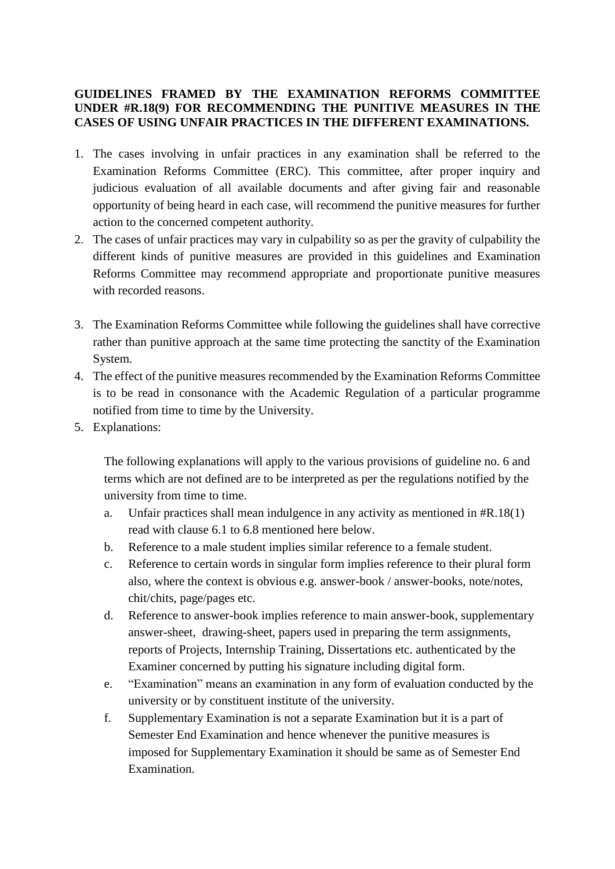## **GUIDELINES FRAMED BY THE EXAMINATION REFORMS COMMITTEE UNDER #R.18(9) FOR RECOMMENDING THE PUNITIVE MEASURES IN THE CASES OF USING UNFAIR PRACTICES IN THE DIFFERENT EXAMINATIONS.**

- 1. The cases involving in unfair practices in any examination shall be referred to the Examination Reforms Committee (ERC). This committee, after proper inquiry and judicious evaluation of all available documents and after giving fair and reasonable opportunity of being heard in each case, will recommend the punitive measures for further action to the concerned competent authority.
- 2. The cases of unfair practices may vary in culpability so as per the gravity of culpability the different kinds of punitive measures are provided in this guidelines and Examination Reforms Committee may recommend appropriate and proportionate punitive measures with recorded reasons.
- 3. The Examination Reforms Committee while following the guidelines shall have corrective rather than punitive approach at the same time protecting the sanctity of the Examination System.
- 4. The effect of the punitive measures recommended by the Examination Reforms Committee is to be read in consonance with the Academic Regulation of a particular programme notified from time to time by the University.
- 5. Explanations:

The following explanations will apply to the various provisions of guideline no. 6 and terms which are not defined are to be interpreted as per the regulations notified by the university from time to time.

- a. Unfair practices shall mean indulgence in any activity as mentioned in #R.18(1) read with clause 6.1 to 6.8 mentioned here below.
- b. Reference to a male student implies similar reference to a female student.
- c. Reference to certain words in singular form implies reference to their plural form also, where the context is obvious e.g. answer-book / answer-books, note/notes, chit/chits, page/pages etc.
- d. Reference to answer-book implies reference to main answer-book, supplementary answer-sheet, drawing-sheet, papers used in preparing the term assignments, reports of Projects, Internship Training, Dissertations etc. authenticated by the Examiner concerned by putting his signature including digital form.
- e. "Examination" means an examination in any form of evaluation conducted by the university or by constituent institute of the university.
- f. Supplementary Examination is not a separate Examination but it is a part of Semester End Examination and hence whenever the punitive measures is imposed for Supplementary Examination it should be same as of Semester End Examination.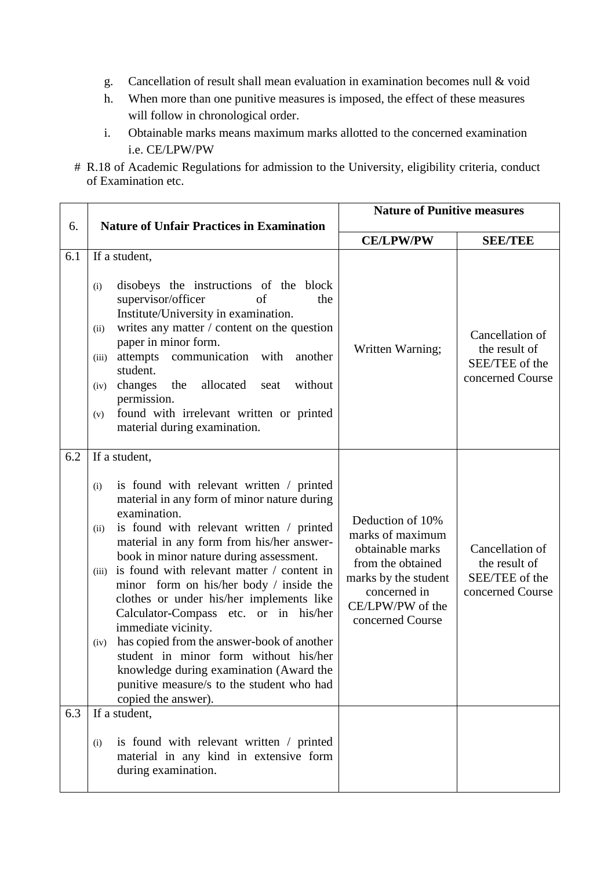- g. Cancellation of result shall mean evaluation in examination becomes null & void
- h. When more than one punitive measures is imposed, the effect of these measures will follow in chronological order.
- i. Obtainable marks means maximum marks allotted to the concerned examination i.e. CE/LPW/PW
- # R.18 of Academic Regulations for admission to the University, eligibility criteria, conduct of Examination etc.

|     |                                                                                                                                                                                                                                                                                                                                                                                                                                                                                                                                                                                                                                                                                                         | <b>Nature of Punitive measures</b>                                                                                                                            |                                                                        |
|-----|---------------------------------------------------------------------------------------------------------------------------------------------------------------------------------------------------------------------------------------------------------------------------------------------------------------------------------------------------------------------------------------------------------------------------------------------------------------------------------------------------------------------------------------------------------------------------------------------------------------------------------------------------------------------------------------------------------|---------------------------------------------------------------------------------------------------------------------------------------------------------------|------------------------------------------------------------------------|
| 6.  | <b>Nature of Unfair Practices in Examination</b>                                                                                                                                                                                                                                                                                                                                                                                                                                                                                                                                                                                                                                                        | <b>CE/LPW/PW</b>                                                                                                                                              | <b>SEE/TEE</b>                                                         |
| 6.1 | If a student,<br>disobeys the instructions of the block<br>(i)<br>supervisor/officer<br>of<br>the<br>Institute/University in examination.<br>writes any matter / content on the question<br>(ii)<br>paper in minor form.<br>attempts communication with<br>another<br>(iii)<br>student.<br>changes<br>the<br>allocated<br>without<br>seat<br>(iv)<br>permission.<br>found with irrelevant written or printed<br>(v)<br>material during examination.                                                                                                                                                                                                                                                     | Written Warning;                                                                                                                                              | Cancellation of<br>the result of<br>SEE/TEE of the<br>concerned Course |
| 6.2 | If a student,<br>is found with relevant written / printed<br>(i)<br>material in any form of minor nature during<br>examination.<br>is found with relevant written / printed<br>(ii)<br>material in any form from his/her answer-<br>book in minor nature during assessment.<br>is found with relevant matter / content in<br>(iii)<br>minor form on his/her body / inside the<br>clothes or under his/her implements like<br>Calculator-Compass etc. or in his/her<br>immediate vicinity.<br>has copied from the answer-book of another<br>(iv)<br>student in minor form without his/her<br>knowledge during examination (Award the<br>punitive measure/s to the student who had<br>copied the answer). | Deduction of 10%<br>marks of maximum<br>obtainable marks<br>from the obtained<br>marks by the student<br>concerned in<br>CE/LPW/PW of the<br>concerned Course | Cancellation of<br>the result of<br>SEE/TEE of the<br>concerned Course |
| 6.3 | If a student,<br>is found with relevant written / printed<br>(i)<br>material in any kind in extensive form<br>during examination.                                                                                                                                                                                                                                                                                                                                                                                                                                                                                                                                                                       |                                                                                                                                                               |                                                                        |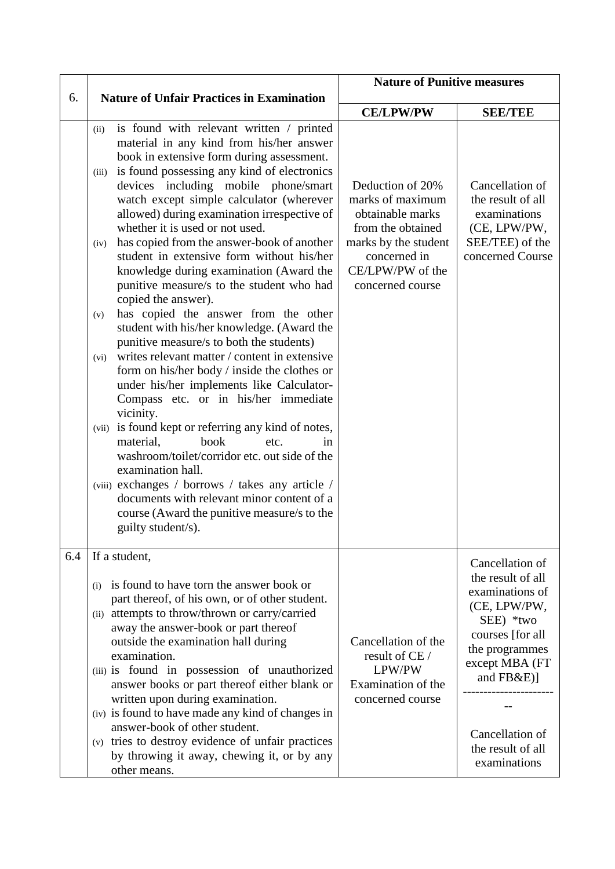|     |                                                                                                                                                                                                                                                                                                                                                                                                                                                                                                                                                                                                                                                                                                                                                                                                                                                                                                                                                                                                                                                                                                                                                                                                                                                                                         | <b>Nature of Punitive measures</b>                                                                                                                            |                                                                                                                                                                                                                     |
|-----|-----------------------------------------------------------------------------------------------------------------------------------------------------------------------------------------------------------------------------------------------------------------------------------------------------------------------------------------------------------------------------------------------------------------------------------------------------------------------------------------------------------------------------------------------------------------------------------------------------------------------------------------------------------------------------------------------------------------------------------------------------------------------------------------------------------------------------------------------------------------------------------------------------------------------------------------------------------------------------------------------------------------------------------------------------------------------------------------------------------------------------------------------------------------------------------------------------------------------------------------------------------------------------------------|---------------------------------------------------------------------------------------------------------------------------------------------------------------|---------------------------------------------------------------------------------------------------------------------------------------------------------------------------------------------------------------------|
| 6.  | <b>Nature of Unfair Practices in Examination</b>                                                                                                                                                                                                                                                                                                                                                                                                                                                                                                                                                                                                                                                                                                                                                                                                                                                                                                                                                                                                                                                                                                                                                                                                                                        |                                                                                                                                                               |                                                                                                                                                                                                                     |
|     |                                                                                                                                                                                                                                                                                                                                                                                                                                                                                                                                                                                                                                                                                                                                                                                                                                                                                                                                                                                                                                                                                                                                                                                                                                                                                         | <b>CE/LPW/PW</b>                                                                                                                                              | <b>SEE/TEE</b>                                                                                                                                                                                                      |
|     | is found with relevant written / printed<br>(ii)<br>material in any kind from his/her answer<br>book in extensive form during assessment.<br>is found possessing any kind of electronics<br>(iii)<br>devices including mobile phone/smart<br>watch except simple calculator (wherever<br>allowed) during examination irrespective of<br>whether it is used or not used.<br>has copied from the answer-book of another<br>(iv)<br>student in extensive form without his/her<br>knowledge during examination (Award the<br>punitive measure/s to the student who had<br>copied the answer).<br>has copied the answer from the other<br>(v)<br>student with his/her knowledge. (Award the<br>punitive measure/s to both the students)<br>writes relevant matter / content in extensive<br>(vi)<br>form on his/her body / inside the clothes or<br>under his/her implements like Calculator-<br>Compass etc. or in his/her immediate<br>vicinity.<br>is found kept or referring any kind of notes,<br>(vii)<br>book<br>material,<br>etc.<br>in<br>washroom/toilet/corridor etc. out side of the<br>examination hall.<br>(viii) exchanges / borrows / takes any article /<br>documents with relevant minor content of a<br>course (Award the punitive measure/s to the<br>guilty student/s). | Deduction of 20%<br>marks of maximum<br>obtainable marks<br>from the obtained<br>marks by the student<br>concerned in<br>CE/LPW/PW of the<br>concerned course | Cancellation of<br>the result of all<br>examinations<br>(CE, LPW/PW,<br>SEE/TEE) of the<br>concerned Course                                                                                                         |
| 6.4 | If a student,<br>is found to have torn the answer book or<br>(i)<br>part thereof, of his own, or of other student.<br>(ii) attempts to throw/thrown or carry/carried<br>away the answer-book or part thereof<br>outside the examination hall during<br>examination.<br>(iii) is found in possession of unauthorized<br>answer books or part thereof either blank or<br>written upon during examination.<br>(iv) is found to have made any kind of changes in<br>answer-book of other student.<br>(v) tries to destroy evidence of unfair practices<br>by throwing it away, chewing it, or by any<br>other means.                                                                                                                                                                                                                                                                                                                                                                                                                                                                                                                                                                                                                                                                        | Cancellation of the<br>result of CE /<br>LPW/PW<br>Examination of the<br>concerned course                                                                     | Cancellation of<br>the result of all<br>examinations of<br>(CE, LPW/PW,<br>SEE) *two<br>courses [for all]<br>the programmes<br>except MBA (FT<br>and FB&E)]<br>Cancellation of<br>the result of all<br>examinations |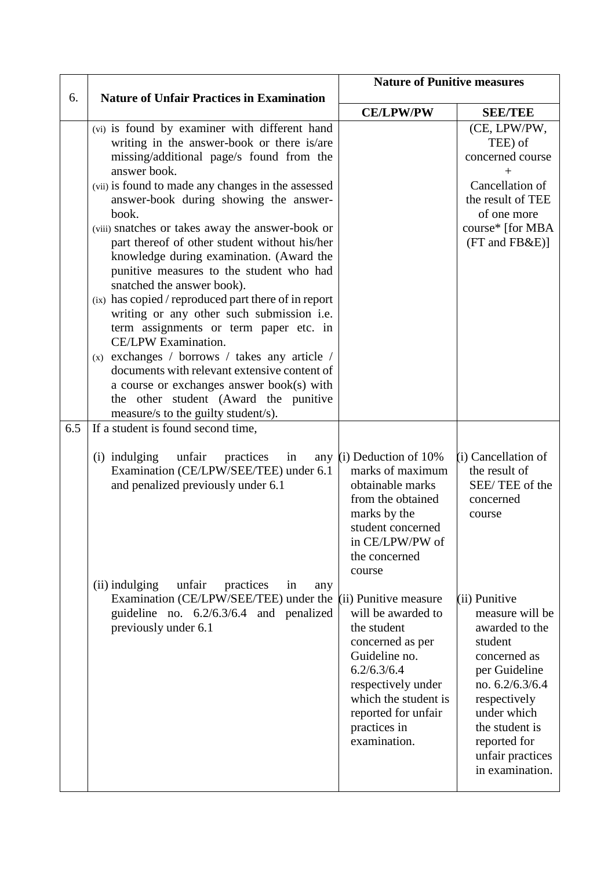|     |                                                                                                                                                                                                                                                                                                                                                                                                                                                                                                                                                                                                                                                                                                                                                                                                                                                                                                                                                                                                                                                                            | <b>Nature of Punitive measures</b>                                                                                                                                                                                                             |                                                                                                                                                                                                                                                    |
|-----|----------------------------------------------------------------------------------------------------------------------------------------------------------------------------------------------------------------------------------------------------------------------------------------------------------------------------------------------------------------------------------------------------------------------------------------------------------------------------------------------------------------------------------------------------------------------------------------------------------------------------------------------------------------------------------------------------------------------------------------------------------------------------------------------------------------------------------------------------------------------------------------------------------------------------------------------------------------------------------------------------------------------------------------------------------------------------|------------------------------------------------------------------------------------------------------------------------------------------------------------------------------------------------------------------------------------------------|----------------------------------------------------------------------------------------------------------------------------------------------------------------------------------------------------------------------------------------------------|
| 6.  | <b>Nature of Unfair Practices in Examination</b>                                                                                                                                                                                                                                                                                                                                                                                                                                                                                                                                                                                                                                                                                                                                                                                                                                                                                                                                                                                                                           |                                                                                                                                                                                                                                                |                                                                                                                                                                                                                                                    |
| 6.5 | (vi) is found by examiner with different hand<br>writing in the answer-book or there is/are<br>missing/additional page/s found from the<br>answer book.<br>(vii) is found to made any changes in the assessed<br>answer-book during showing the answer-<br>book.<br>(viii) snatches or takes away the answer-book or<br>part thereof of other student without his/her<br>knowledge during examination. (Award the<br>punitive measures to the student who had<br>snatched the answer book).<br>(ix) has copied / reproduced part there of in report<br>writing or any other such submission i.e.<br>term assignments or term paper etc. in<br>CE/LPW Examination.<br>(x) exchanges / borrows / takes any article /<br>documents with relevant extensive content of<br>a course or exchanges answer book(s) with<br>the other student (Award the punitive<br>measure/s to the guilty student/s).<br>If a student is found second time,<br>(i) indulging<br>unfair<br>practices<br>in<br>any<br>Examination (CE/LPW/SEE/TEE) under 6.1<br>and penalized previously under 6.1 | <b>CE/LPW/PW</b><br>$(i)$ Deduction of 10%<br>marks of maximum<br>obtainable marks<br>from the obtained<br>marks by the<br>student concerned<br>in CE/LPW/PW of                                                                                | <b>SEE/TEE</b><br>(CE, LPW/PW,<br>TEE) of<br>concerned course<br>$+$<br>Cancellation of<br>the result of TEE<br>of one more<br>course* [for MBA<br>(FT and FB&E)]<br>(i) Cancellation of<br>the result of<br>SEE/TEE of the<br>concerned<br>course |
|     | (ii) indulging<br>unfair<br>practices<br>in<br>any<br>Examination (CE/LPW/SEE/TEE) under the<br>guideline no. $6.2/6.3/6.4$ and penalized<br>previously under 6.1                                                                                                                                                                                                                                                                                                                                                                                                                                                                                                                                                                                                                                                                                                                                                                                                                                                                                                          | the concerned<br>course<br>(ii) Punitive measure<br>will be awarded to<br>the student<br>concerned as per<br>Guideline no.<br>6.2/6.3/6.4<br>respectively under<br>which the student is<br>reported for unfair<br>practices in<br>examination. | (ii) Punitive<br>measure will be<br>awarded to the<br>student<br>concerned as<br>per Guideline<br>no. 6.2/6.3/6.4<br>respectively<br>under which<br>the student is<br>reported for<br>unfair practices<br>in examination.                          |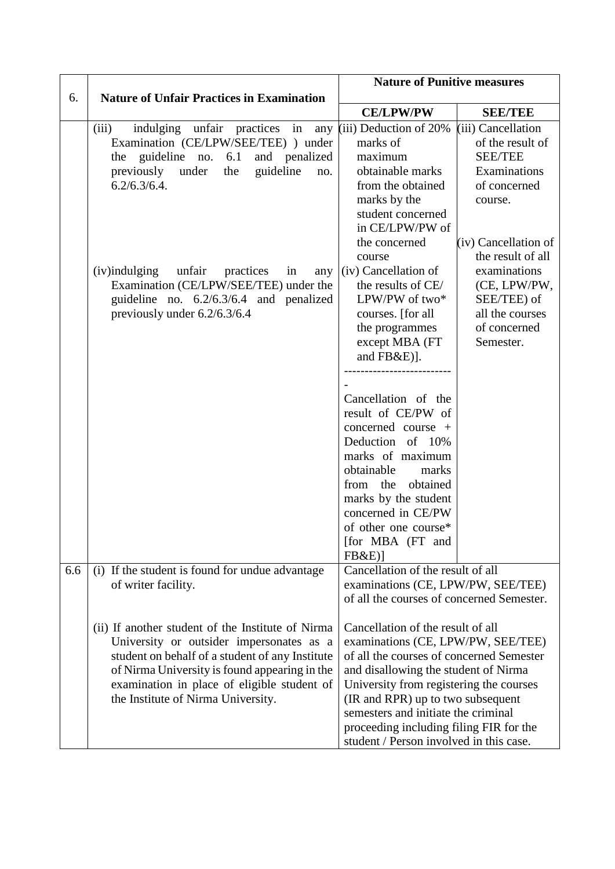| 6.  | <b>Nature of Unfair Practices in Examination</b>                                                                                                                                                                                                                                                                                                                                   | <b>Nature of Punitive measures</b>                                                                                                                                                                                                                                                                                                                                                                                                                                            |                                                                                                                                                                                                                                                 |  |
|-----|------------------------------------------------------------------------------------------------------------------------------------------------------------------------------------------------------------------------------------------------------------------------------------------------------------------------------------------------------------------------------------|-------------------------------------------------------------------------------------------------------------------------------------------------------------------------------------------------------------------------------------------------------------------------------------------------------------------------------------------------------------------------------------------------------------------------------------------------------------------------------|-------------------------------------------------------------------------------------------------------------------------------------------------------------------------------------------------------------------------------------------------|--|
|     |                                                                                                                                                                                                                                                                                                                                                                                    | <b>CE/LPW/PW</b>                                                                                                                                                                                                                                                                                                                                                                                                                                                              | <b>SEE/TEE</b>                                                                                                                                                                                                                                  |  |
|     | indulging unfair practices in<br>(iii)<br>any<br>Examination (CE/LPW/SEE/TEE) ) under<br>the guideline no. $6.1$<br>and penalized<br>previously under<br>guideline<br>the<br>no.<br>$6.2/6.3/6.4$ .<br>$(iv)$ indulging<br>unfair<br>practices<br>in<br>any<br>Examination (CE/LPW/SEE/TEE) under the<br>guideline no. $6.2/6.3/6.4$ and penalized<br>previously under 6.2/6.3/6.4 | $(iii)$ Deduction of 20%<br>marks of<br>maximum<br>obtainable marks<br>from the obtained<br>marks by the<br>student concerned<br>in CE/LPW/PW of<br>the concerned<br>course<br>(iv) Cancellation of<br>the results of CE/<br>LPW/PW of two*<br>courses. [for all]<br>the programmes<br>except MBA (FT<br>and FB&E)].<br>Cancellation of the<br>result of CE/PW of<br>concerned course $+$<br>Deduction of 10%<br>marks of maximum<br>obtainable<br>marks<br>from the obtained | (iii) Cancellation<br>of the result of<br><b>SEE/TEE</b><br>Examinations<br>of concerned<br>course.<br>(iv) Cancellation of<br>the result of all<br>examinations<br>(CE, LPW/PW,<br>SEE/TEE) of<br>all the courses<br>of concerned<br>Semester. |  |
|     |                                                                                                                                                                                                                                                                                                                                                                                    | marks by the student<br>concerned in CE/PW<br>of other one course*<br>[for MBA (FT and<br>FB&E)                                                                                                                                                                                                                                                                                                                                                                               |                                                                                                                                                                                                                                                 |  |
| 6.6 | (i) If the student is found for undue advantage<br>of writer facility.                                                                                                                                                                                                                                                                                                             | Cancellation of the result of all<br>examinations (CE, LPW/PW, SEE/TEE)<br>of all the courses of concerned Semester.                                                                                                                                                                                                                                                                                                                                                          |                                                                                                                                                                                                                                                 |  |
|     | (ii) If another student of the Institute of Nirma<br>University or outsider impersonates as a<br>student on behalf of a student of any Institute<br>of Nirma University is found appearing in the<br>examination in place of eligible student of<br>the Institute of Nirma University.                                                                                             | Cancellation of the result of all<br>examinations (CE, LPW/PW, SEE/TEE)<br>of all the courses of concerned Semester<br>and disallowing the student of Nirma<br>University from registering the courses<br>(IR and RPR) up to two subsequent<br>semesters and initiate the criminal<br>proceeding including filing FIR for the<br>student / Person involved in this case.                                                                                                      |                                                                                                                                                                                                                                                 |  |